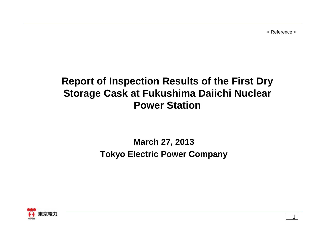< Reference >

1

# **Report of Inspection Results of the First Dry Storage Cask at Fukushima Daiichi Nuclear Power Station**

## **March 27, 2013 Tokyo Electric Power Company**

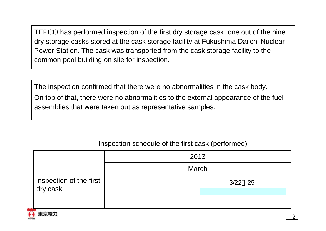TEPCO has performed inspection of the first dry storage cask, one out of the nine dry storage casks stored at the cask storage facility at Fukushima Daiichi Nuclear Power Station. The cask was transported from the cask storage facility to the common pool building on site for inspection.

The inspection confirmed that there were no abnormalities in the cask body. On top of that, there were no abnormalities to the external appearance of the fuel assemblies that were taken out as representative samples.

|                                     | 2013         |
|-------------------------------------|--------------|
|                                     | <b>March</b> |
| inspection of the first<br>dry cask | $3/22$ 25    |
| 审查雷力                                |              |

Inspection schedule of the first cask (performed)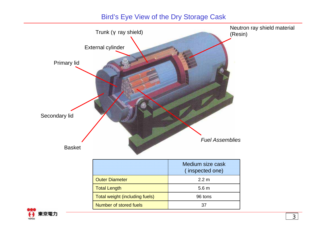## Bird's Eye View of the Dry Storage Cask



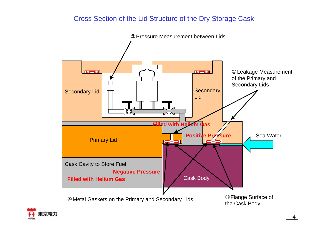

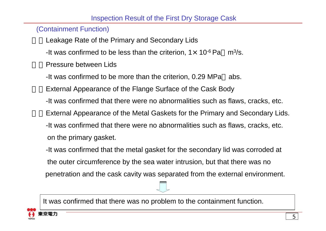(Containment Function)

Leakage Rate of the Primary and Secondary Lids

-It was confirmed to be less than the criterion, 1 $\times$  10<sup>-6</sup> Pa  $\,$  m<sup>3</sup>/s.

Pressure between Lids

-It was confirmed to be more than the criterion, 0.29 MPa abs.

External Appearance of the Flange Surface of the Cask Body

- -It was confirmed that there were no abnormalities such as flaws, cracks, etc.
- External Appearance of the Metal Gaskets for the Primary and Secondary Lids.
- -It was confirmed that there were no abnormalities such as flaws, cracks, etc.

on the primary gasket.

-It was confirmed that the metal gasket for the secondary lid was corroded at the outer circumference by the sea water intrusion, but that there was no penetration and the cask cavity was separated from the external environment.

It was confirmed that there was no problem to the containment function.

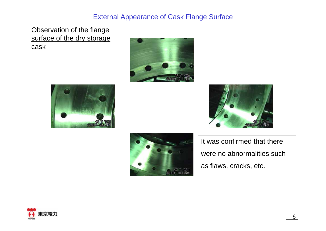## External Appearance of Cask Flange Surface

Observation of the flange surface of the dry storage cask









It was confirmed that there were no abnormalities such as flaws, cracks, etc.



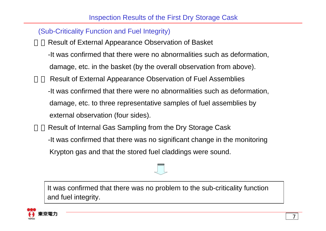## (Sub-Criticality Function and Fuel Integrity)

Result of External Appearance Observation of Basket

-It was confirmed that there were no abnormalities such as deformation,

damage, etc. in the basket (by the overall observation from above).

Result of External Appearance Observation of Fuel Assemblies

- -It was confirmed that there were no abnormalities such as deformation,
- damage, etc. to three representative samples of fuel assemblies by

external observation (four sides).

- Result of Internal Gas Sampling from the Dry Storage Cask
- -It was confirmed that there was no significant change in the monitoring Krypton gas and that the stored fuel claddings were sound.



It was confirmed that there was no problem to the sub-criticality function and fuel integrity.

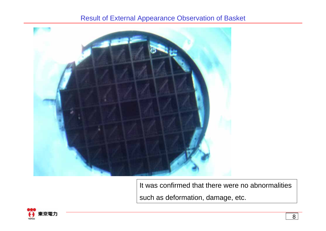## Result of External Appearance Observation of Basket



It was confirmed that there were no abnormalities such as deformation, damage, etc.

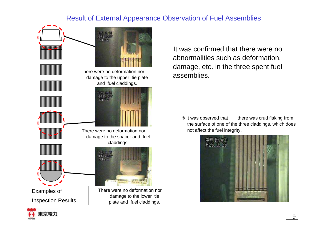## Result of External Appearance Observation of Fuel Assemblies



It was confirmed that there were no abnormalities such as deformation, damage, etc. in the three spent fuel assemblies.

> It was observed that there was crud flaking from the surface of one of the three claddings, which does not affect the fuel integrity.

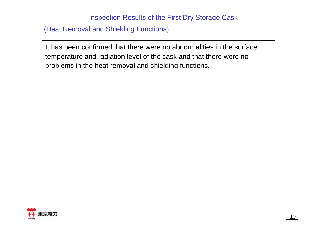(Heat Removal and Shielding Functions)

It has been confirmed that there were no abnormalities in the surface temperature and radiation level of the cask and that there were no problems in the heat removal and shielding functions.

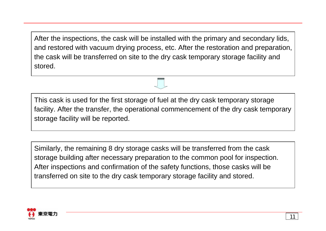After the inspections, the cask will be installed with the primary and secondary lids, and restored with vacuum drying process, etc. After the restoration and preparation, the cask will be transferred on site to the dry cask temporary storage facility and stored.

This cask is used for the first storage of fuel at the dry cask temporary storage facility. After the transfer, the operational commencement of the dry cask temporary storage facility will be reported.

Similarly, the remaining 8 dry storage casks will be transferred from the cask storage building after necessary preparation to the common pool for inspection. After inspections and confirmation of the safety functions, those casks will be transferred on site to the dry cask temporary storage facility and stored.

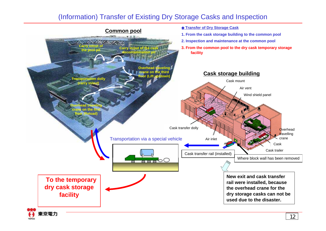#### (Information) Transfer of Existing Dry Storage Casks and Inspection



TEPCO

12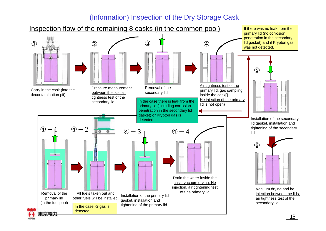## (Information) Inspection of the Dry Storage Cask



TEPCO